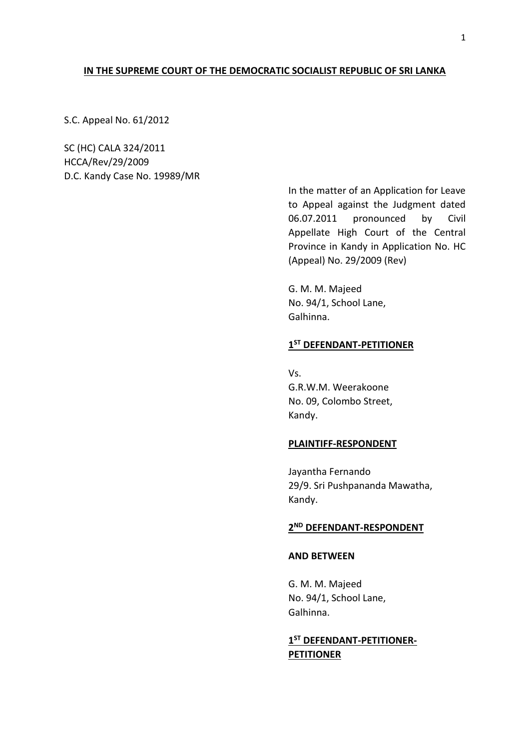### **IN THE SUPREME COURT OF THE DEMOCRATIC SOCIALIST REPUBLIC OF SRI LANKA**

S.C. Appeal No. 61/2012

SC (HC) CALA 324/2011 HCCA/Rev/29/2009 D.C. Kandy Case No. 19989/MR

> In the matter of an Application for Leave to Appeal against the Judgment dated 06.07.2011 pronounced by Civil Appellate High Court of the Central Province in Kandy in Application No. HC (Appeal) No. 29/2009 (Rev)

G. M. M. Majeed No. 94/1, School Lane, Galhinna.

## **1 ST DEFENDANT-PETITIONER**

Vs. G.R.W.M. Weerakoone No. 09, Colombo Street, Kandy.

#### **PLAINTIFF-RESPONDENT**

Jayantha Fernando 29/9. Sri Pushpananda Mawatha, Kandy.

## **2 ND DEFENDANT-RESPONDENT**

#### **AND BETWEEN**

G. M. M. Majeed No. 94/1, School Lane, Galhinna.

## **1 ST DEFENDANT-PETITIONER-PETITIONER**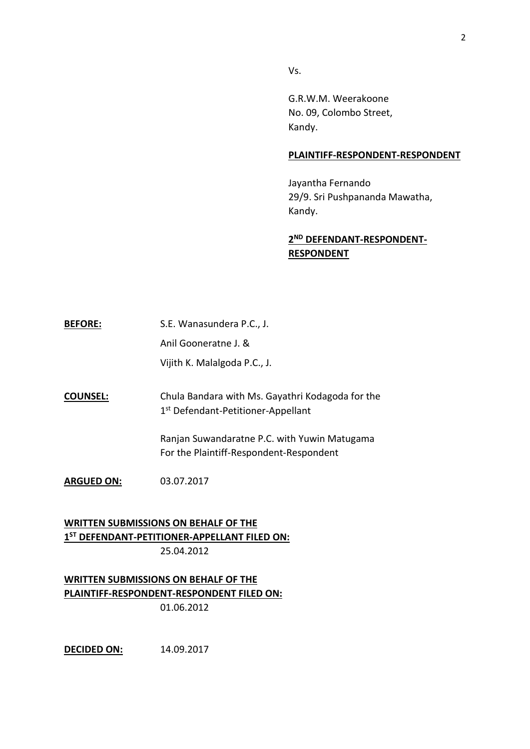Vs.

G.R.W.M. Weerakoone No. 09, Colombo Street, Kandy.

#### **PLAINTIFF-RESPONDENT-RESPONDENT**

Jayantha Fernando 29/9. Sri Pushpananda Mawatha, Kandy.

# **2 ND DEFENDANT-RESPONDENT-RESPONDENT**

**BEFORE:** S.E. Wanasundera P.C., J. Anil Gooneratne J. & Vijith K. Malalgoda P.C., J.

**COUNSEL:** Chula Bandara with Ms. Gayathri Kodagoda for the 1st Defendant-Petitioner-Appellant

> Ranjan Suwandaratne P.C. with Yuwin Matugama For the Plaintiff-Respondent-Respondent

**ARGUED ON:** 03.07.2017

**WRITTEN SUBMISSIONS ON BEHALF OF THE 1 ST DEFENDANT-PETITIONER-APPELLANT FILED ON:** 25.04.2012

**WRITTEN SUBMISSIONS ON BEHALF OF THE PLAINTIFF-RESPONDENT-RESPONDENT FILED ON:** 01.06.2012

**DECIDED ON:** 14.09.2017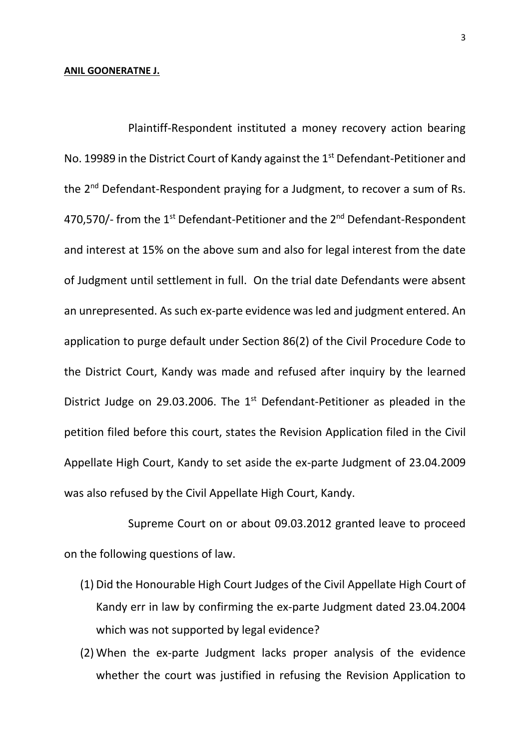#### **ANIL GOONERATNE J.**

Plaintiff-Respondent instituted a money recovery action bearing No. 19989 in the District Court of Kandy against the 1<sup>st</sup> Defendant-Petitioner and the 2<sup>nd</sup> Defendant-Respondent praying for a Judgment, to recover a sum of Rs. 470,570/- from the  $1<sup>st</sup>$  Defendant-Petitioner and the  $2<sup>nd</sup>$  Defendant-Respondent and interest at 15% on the above sum and also for legal interest from the date of Judgment until settlement in full. On the trial date Defendants were absent an unrepresented. As such ex-parte evidence was led and judgment entered. An application to purge default under Section 86(2) of the Civil Procedure Code to the District Court, Kandy was made and refused after inquiry by the learned District Judge on 29.03.2006. The  $1<sup>st</sup>$  Defendant-Petitioner as pleaded in the petition filed before this court, states the Revision Application filed in the Civil Appellate High Court, Kandy to set aside the ex-parte Judgment of 23.04.2009 was also refused by the Civil Appellate High Court, Kandy.

Supreme Court on or about 09.03.2012 granted leave to proceed on the following questions of law.

- (1) Did the Honourable High Court Judges of the Civil Appellate High Court of Kandy err in law by confirming the ex-parte Judgment dated 23.04.2004 which was not supported by legal evidence?
- (2) When the ex-parte Judgment lacks proper analysis of the evidence whether the court was justified in refusing the Revision Application to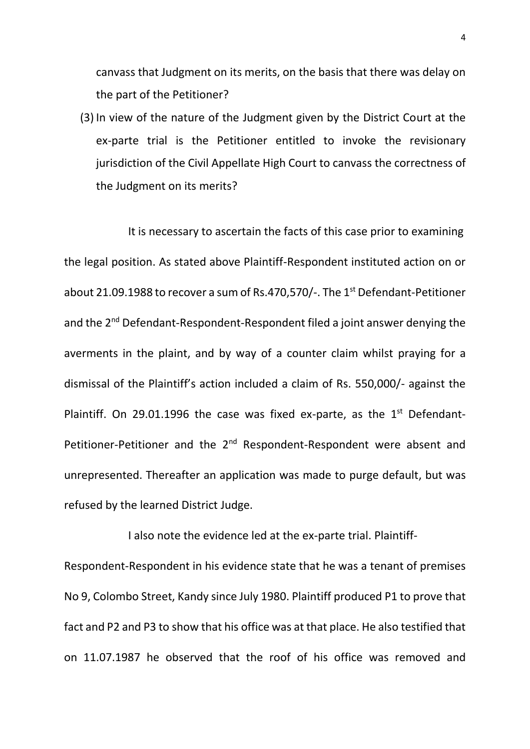canvass that Judgment on its merits, on the basis that there was delay on the part of the Petitioner?

(3) In view of the nature of the Judgment given by the District Court at the ex-parte trial is the Petitioner entitled to invoke the revisionary jurisdiction of the Civil Appellate High Court to canvass the correctness of the Judgment on its merits?

It is necessary to ascertain the facts of this case prior to examining the legal position. As stated above Plaintiff-Respondent instituted action on or about 21.09.1988 to recover a sum of Rs.470,570/-. The 1<sup>st</sup> Defendant-Petitioner and the 2<sup>nd</sup> Defendant-Respondent-Respondent filed a joint answer denying the averments in the plaint, and by way of a counter claim whilst praying for a dismissal of the Plaintiff's action included a claim of Rs. 550,000/- against the Plaintiff. On 29.01.1996 the case was fixed ex-parte, as the  $1<sup>st</sup>$  Defendant-Petitioner-Petitioner and the 2<sup>nd</sup> Respondent-Respondent were absent and unrepresented. Thereafter an application was made to purge default, but was refused by the learned District Judge.

I also note the evidence led at the ex-parte trial. Plaintiff-Respondent-Respondent in his evidence state that he was a tenant of premises No 9, Colombo Street, Kandy since July 1980. Plaintiff produced P1 to prove that fact and P2 and P3 to show that his office was at that place. He also testified that on 11.07.1987 he observed that the roof of his office was removed and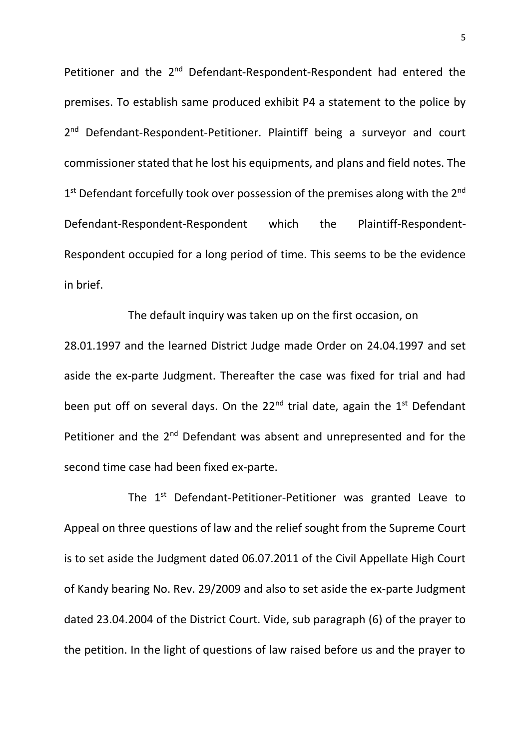Petitioner and the 2<sup>nd</sup> Defendant-Respondent-Respondent had entered the premises. To establish same produced exhibit P4 a statement to the police by 2<sup>nd</sup> Defendant-Respondent-Petitioner. Plaintiff being a surveyor and court commissioner stated that he lost his equipments, and plans and field notes. The 1<sup>st</sup> Defendant forcefully took over possession of the premises along with the 2<sup>nd</sup> Defendant-Respondent-Respondent which the Plaintiff-Respondent-Respondent occupied for a long period of time. This seems to be the evidence in brief.

The default inquiry was taken up on the first occasion, on 28.01.1997 and the learned District Judge made Order on 24.04.1997 and set aside the ex-parte Judgment. Thereafter the case was fixed for trial and had been put off on several days. On the  $22<sup>nd</sup>$  trial date, again the  $1<sup>st</sup>$  Defendant Petitioner and the 2<sup>nd</sup> Defendant was absent and unrepresented and for the second time case had been fixed ex-parte.

The 1<sup>st</sup> Defendant-Petitioner-Petitioner was granted Leave to Appeal on three questions of law and the relief sought from the Supreme Court is to set aside the Judgment dated 06.07.2011 of the Civil Appellate High Court of Kandy bearing No. Rev. 29/2009 and also to set aside the ex-parte Judgment dated 23.04.2004 of the District Court. Vide, sub paragraph (6) of the prayer to the petition. In the light of questions of law raised before us and the prayer to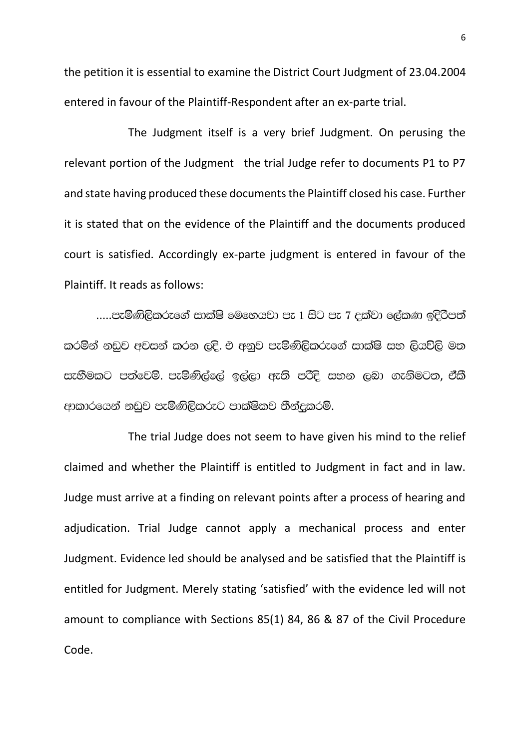the petition it is essential to examine the District Court Judgment of 23.04.2004 entered in favour of the Plaintiff-Respondent after an ex-parte trial.

The Judgment itself is a very brief Judgment. On perusing the relevant portion of the Judgment the trial Judge refer to documents P1 to P7 and state having produced these documents the Plaintiff closed his case. Further it is stated that on the evidence of the Plaintiff and the documents produced court is satisfied. Accordingly ex-parte judgment is entered in favour of the Plaintiff. It reads as follows:

 $....$ පැමිණිලිකරුගේ සාක්ෂි මෙහෙයවා පැ 1 සිට පැ 7 දක්වා ලේකණ ඉදිරිපත් කරමින් නඩුව අවසන් කරන ලදි. එ අනුව පැමිණිලිකරුගේ සාක්ෂි සහ ලියවිලි මත සැහීමකට පත්වෙමි. පැමිණිල්ලේ ඉල්ලා ඇති පරිදි සහන ලබා ගැනිමටත, ඒකී ආකාරයෙන් නඩුව පැමිණිලිකරුට පාක්ෂිකව තීන්දුකරමි.

The trial Judge does not seem to have given his mind to the relief claimed and whether the Plaintiff is entitled to Judgment in fact and in law. Judge must arrive at a finding on relevant points after a process of hearing and adjudication. Trial Judge cannot apply a mechanical process and enter Judgment. Evidence led should be analysed and be satisfied that the Plaintiff is entitled for Judgment. Merely stating 'satisfied' with the evidence led will not amount to compliance with Sections 85(1) 84, 86 & 87 of the Civil Procedure Code.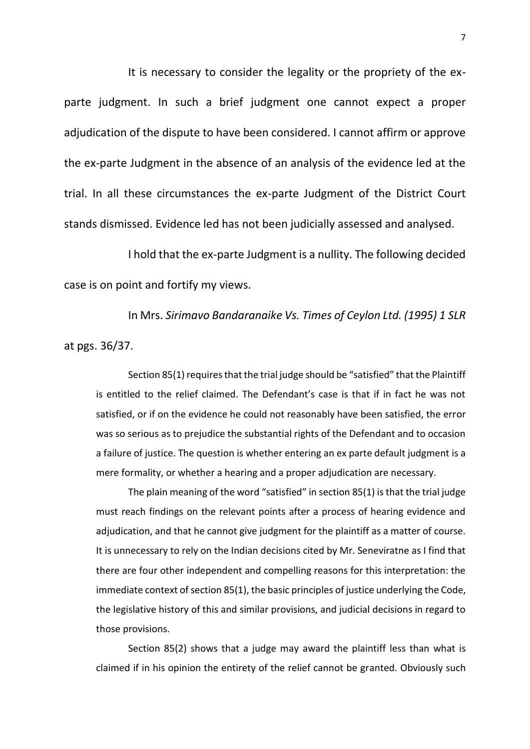It is necessary to consider the legality or the propriety of the exparte judgment. In such a brief judgment one cannot expect a proper adjudication of the dispute to have been considered. I cannot affirm or approve the ex-parte Judgment in the absence of an analysis of the evidence led at the trial. In all these circumstances the ex-parte Judgment of the District Court stands dismissed. Evidence led has not been judicially assessed and analysed.

I hold that the ex-parte Judgment is a nullity. The following decided case is on point and fortify my views.

In Mrs. *Sirimavo Bandaranaike Vs. Times of Ceylon Ltd. (1995) 1 SLR* at pgs. 36/37.

Section 85(1) requires that the trial judge should be "satisfied" that the Plaintiff is entitled to the relief claimed. The Defendant's case is that if in fact he was not satisfied, or if on the evidence he could not reasonably have been satisfied, the error was so serious as to prejudice the substantial rights of the Defendant and to occasion a failure of justice. The question is whether entering an ex parte default judgment is a mere formality, or whether a hearing and a proper adjudication are necessary.

The plain meaning of the word "satisfied" in section 85(1) is that the trial judge must reach findings on the relevant points after a process of hearing evidence and adjudication, and that he cannot give judgment for the plaintiff as a matter of course. It is unnecessary to rely on the Indian decisions cited by Mr. Seneviratne as I find that there are four other independent and compelling reasons for this interpretation: the immediate context of section 85(1), the basic principles of justice underlying the Code, the legislative history of this and similar provisions, and judicial decisions in regard to those provisions.

Section 85(2) shows that a judge may award the plaintiff less than what is claimed if in his opinion the entirety of the relief cannot be granted. Obviously such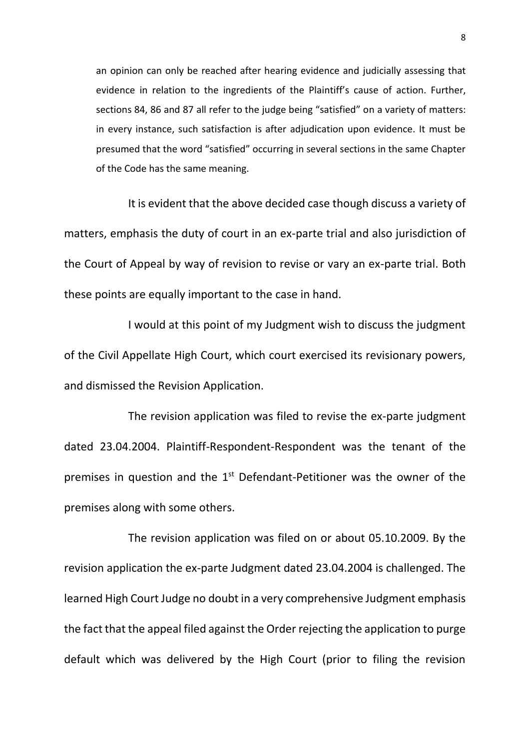an opinion can only be reached after hearing evidence and judicially assessing that evidence in relation to the ingredients of the Plaintiff's cause of action. Further, sections 84, 86 and 87 all refer to the judge being "satisfied" on a variety of matters: in every instance, such satisfaction is after adjudication upon evidence. It must be presumed that the word "satisfied" occurring in several sections in the same Chapter of the Code has the same meaning.

It is evident that the above decided case though discuss a variety of matters, emphasis the duty of court in an ex-parte trial and also jurisdiction of the Court of Appeal by way of revision to revise or vary an ex-parte trial. Both these points are equally important to the case in hand.

I would at this point of my Judgment wish to discuss the judgment of the Civil Appellate High Court, which court exercised its revisionary powers, and dismissed the Revision Application.

The revision application was filed to revise the ex-parte judgment dated 23.04.2004. Plaintiff-Respondent-Respondent was the tenant of the premises in question and the 1<sup>st</sup> Defendant-Petitioner was the owner of the premises along with some others.

The revision application was filed on or about 05.10.2009. By the revision application the ex-parte Judgment dated 23.04.2004 is challenged. The learned High Court Judge no doubt in a very comprehensive Judgment emphasis the fact that the appeal filed against the Order rejecting the application to purge default which was delivered by the High Court (prior to filing the revision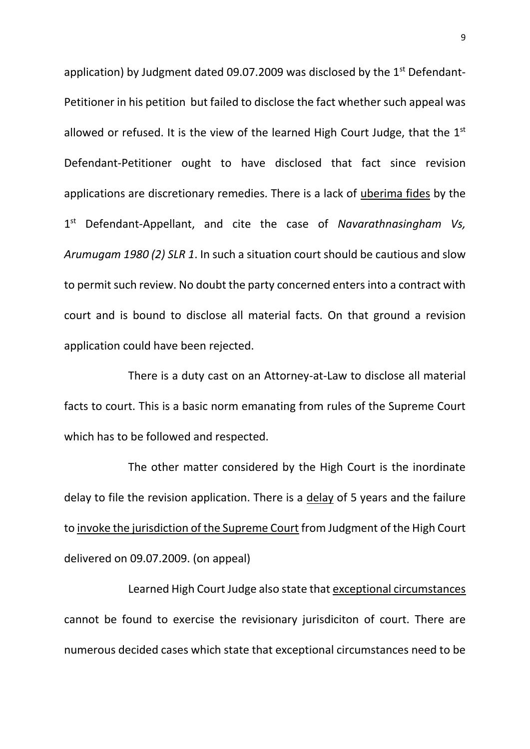application) by Judgment dated 09.07.2009 was disclosed by the  $1<sup>st</sup>$  Defendant-Petitioner in his petition but failed to disclose the fact whether such appeal was allowed or refused. It is the view of the learned High Court Judge, that the  $1<sup>st</sup>$ Defendant-Petitioner ought to have disclosed that fact since revision applications are discretionary remedies. There is a lack of uberima fides by the 1 st Defendant-Appellant, and cite the case of *Navarathnasingham Vs, Arumugam 1980 (2) SLR 1*. In such a situation court should be cautious and slow to permit such review. No doubt the party concerned enters into a contract with court and is bound to disclose all material facts. On that ground a revision application could have been rejected.

There is a duty cast on an Attorney-at-Law to disclose all material facts to court. This is a basic norm emanating from rules of the Supreme Court which has to be followed and respected.

The other matter considered by the High Court is the inordinate delay to file the revision application. There is a delay of 5 years and the failure to invoke the jurisdiction of the Supreme Court from Judgment of the High Court delivered on 09.07.2009. (on appeal)

Learned High Court Judge also state that exceptional circumstances cannot be found to exercise the revisionary jurisdiciton of court. There are numerous decided cases which state that exceptional circumstances need to be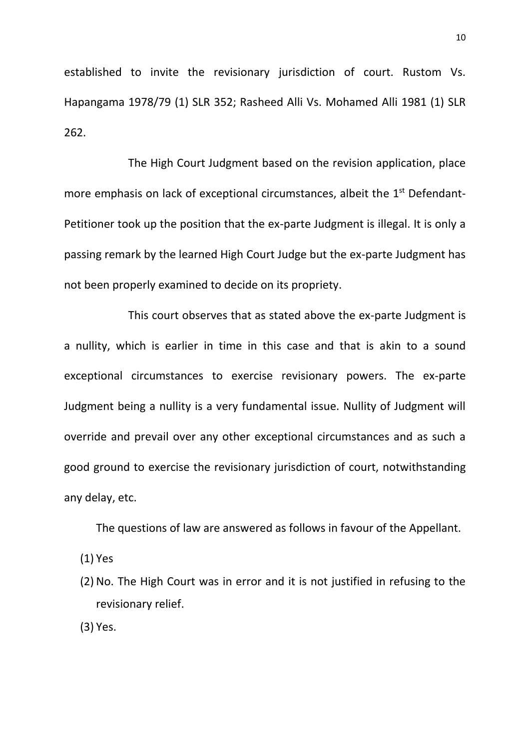established to invite the revisionary jurisdiction of court. Rustom Vs. Hapangama 1978/79 (1) SLR 352; Rasheed Alli Vs. Mohamed Alli 1981 (1) SLR 262.

The High Court Judgment based on the revision application, place more emphasis on lack of exceptional circumstances, albeit the 1<sup>st</sup> Defendant-Petitioner took up the position that the ex-parte Judgment is illegal. It is only a passing remark by the learned High Court Judge but the ex-parte Judgment has not been properly examined to decide on its propriety.

This court observes that as stated above the ex-parte Judgment is a nullity, which is earlier in time in this case and that is akin to a sound exceptional circumstances to exercise revisionary powers. The ex-parte Judgment being a nullity is a very fundamental issue. Nullity of Judgment will override and prevail over any other exceptional circumstances and as such a good ground to exercise the revisionary jurisdiction of court, notwithstanding any delay, etc.

The questions of law are answered as follows in favour of the Appellant.

(1) Yes

(2) No. The High Court was in error and it is not justified in refusing to the revisionary relief.

(3) Yes.